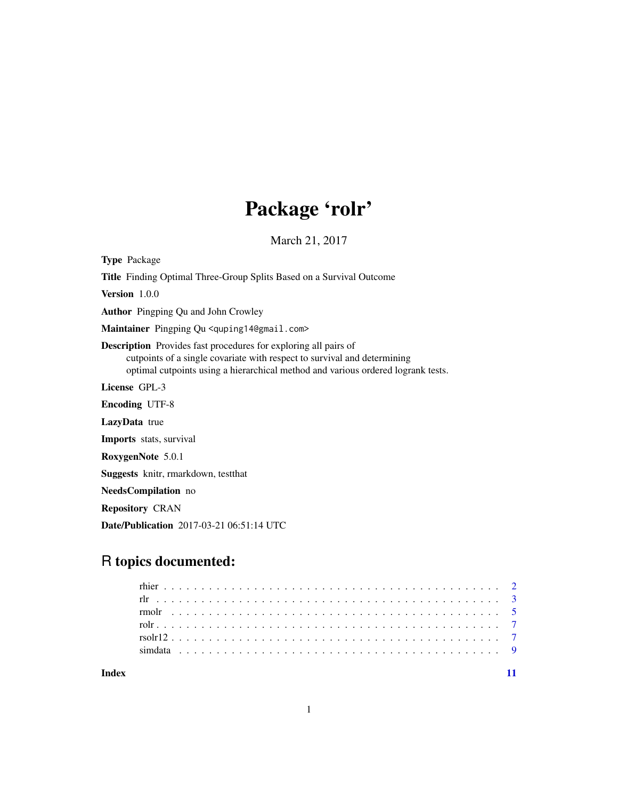## Package 'rolr'

March 21, 2017

Type Package

Title Finding Optimal Three-Group Splits Based on a Survival Outcome

Version 1.0.0

Author Pingping Qu and John Crowley

Maintainer Pingping Qu <quping14@gmail.com>

Description Provides fast procedures for exploring all pairs of cutpoints of a single covariate with respect to survival and determining optimal cutpoints using a hierarchical method and various ordered logrank tests.

License GPL-3

Encoding UTF-8

LazyData true

Imports stats, survival

RoxygenNote 5.0.1

Suggests knitr, rmarkdown, testthat

NeedsCompilation no

Repository CRAN

Date/Publication 2017-03-21 06:51:14 UTC

### R topics documented:

| $rsolr12$ |  |  |  |  |  |  |  |  |  |  |  |  |  |  |  |  |  |  |  |  |  |  |  |
|-----------|--|--|--|--|--|--|--|--|--|--|--|--|--|--|--|--|--|--|--|--|--|--|--|
|           |  |  |  |  |  |  |  |  |  |  |  |  |  |  |  |  |  |  |  |  |  |  |  |
|           |  |  |  |  |  |  |  |  |  |  |  |  |  |  |  |  |  |  |  |  |  |  |  |
|           |  |  |  |  |  |  |  |  |  |  |  |  |  |  |  |  |  |  |  |  |  |  |  |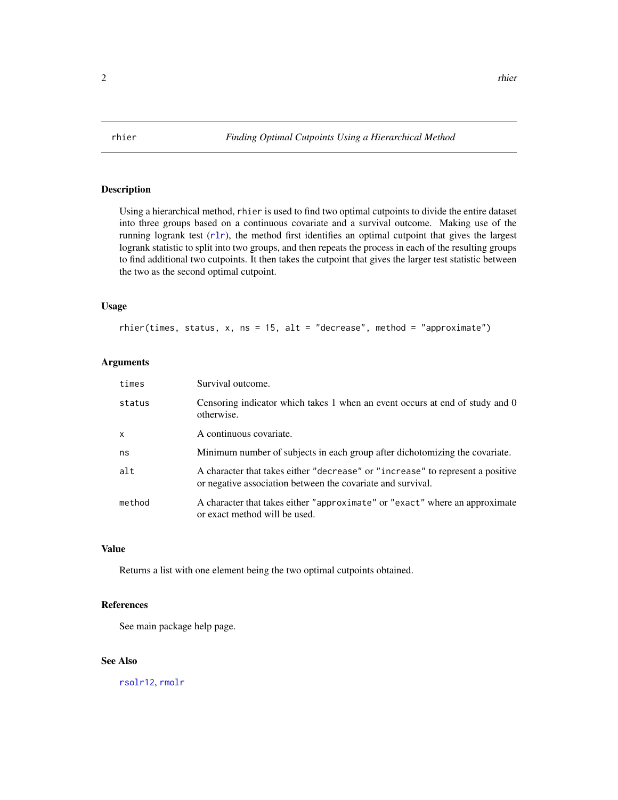<span id="page-1-1"></span><span id="page-1-0"></span>

#### Description

Using a hierarchical method, rhier is used to find two optimal cutpoints to divide the entire dataset into three groups based on a continuous covariate and a survival outcome. Making use of the running logrank test (r1r), the method first identifies an optimal cutpoint that gives the largest logrank statistic to split into two groups, and then repeats the process in each of the resulting groups to find additional two cutpoints. It then takes the cutpoint that gives the larger test statistic between the two as the second optimal cutpoint.

#### Usage

rhier(times, status,  $x$ , ns = 15, alt = "decrease", method = "approximate")

#### **Arguments**

| times        | Survival outcome.                                                                                                                             |
|--------------|-----------------------------------------------------------------------------------------------------------------------------------------------|
| status       | Censoring indicator which takes 1 when an event occurs at end of study and 0<br>otherwise.                                                    |
| $\mathsf{x}$ | A continuous covariate.                                                                                                                       |
| ns           | Minimum number of subjects in each group after dichotomizing the covariate.                                                                   |
| alt          | A character that takes either "decrease" or "increase" to represent a positive<br>or negative association between the covariate and survival. |
| method       | A character that takes either "approximate" or "exact" where an approximate<br>or exact method will be used.                                  |

#### Value

Returns a list with one element being the two optimal cutpoints obtained.

#### References

See main package help page.

#### See Also

[rsolr12](#page-6-1), [rmolr](#page-4-1)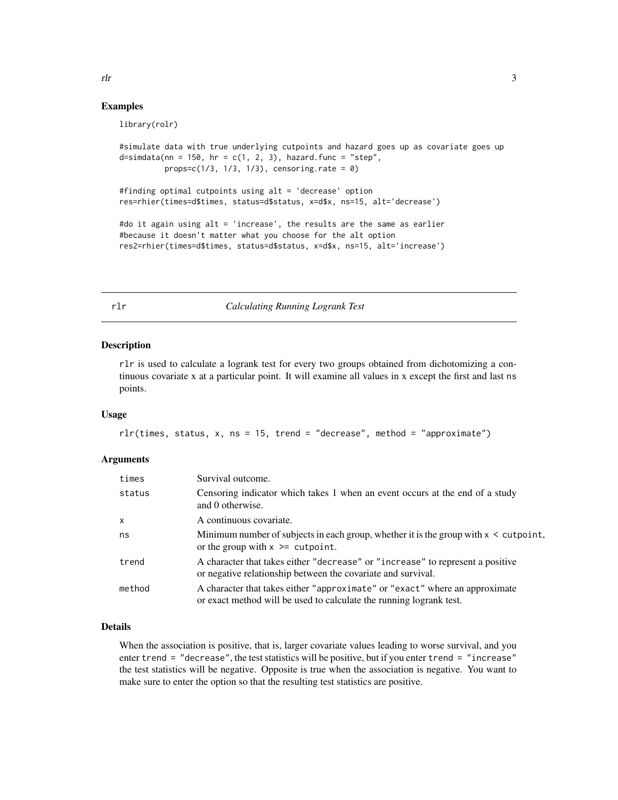#### Examples

library(rolr)

```
#simulate data with true underlying cutpoints and hazard goes up as covariate goes up
d=simdata(nn = 150, hr = c(1, 2, 3), hazard.func = "step",
         props=c(1/3, 1/3, 1/3), censoring.rate = 0)
#finding optimal cutpoints using alt = 'decrease' option
res=rhier(times=d$times, status=d$status, x=d$x, ns=15, alt='decrease')
#do it again using alt = 'increase', the results are the same as earlier
#because it doesn't matter what you choose for the alt option
res2=rhier(times=d$times, status=d$status, x=d$x, ns=15, alt='increase')
```
<span id="page-2-1"></span>rlr *Calculating Running Logrank Test*

#### **Description**

rlr is used to calculate a logrank test for every two groups obtained from dichotomizing a continuous covariate x at a particular point. It will examine all values in x except the first and last ns points.

#### Usage

```
rlr(times, status, x, ns = 15, trend = "decrease", method = "approximate")
```
#### Arguments

| times        | Survival outcome.                                                                                                                                  |
|--------------|----------------------------------------------------------------------------------------------------------------------------------------------------|
| status       | Censoring indicator which takes 1 when an event occurs at the end of a study<br>and 0 otherwise.                                                   |
| $\mathsf{x}$ | A continuous covariate.                                                                                                                            |
| ns           | Minimum number of subjects in each group, whether it is the group with $x <$ cutpoint,<br>or the group with $x \geq 0$ cutpoint.                   |
| trend        | A character that takes either "decrease" or "increase" to represent a positive<br>or negative relationship between the covariate and survival.     |
| method       | A character that takes either "approximate" or "exact" where an approximate<br>or exact method will be used to calculate the running logrank test. |

#### Details

When the association is positive, that is, larger covariate values leading to worse survival, and you enter trend = "decrease", the test statistics will be positive, but if you enter trend = "increase" the test statistics will be negative. Opposite is true when the association is negative. You want to make sure to enter the option so that the resulting test statistics are positive.

<span id="page-2-0"></span> $r \ln \frac{3}{2}$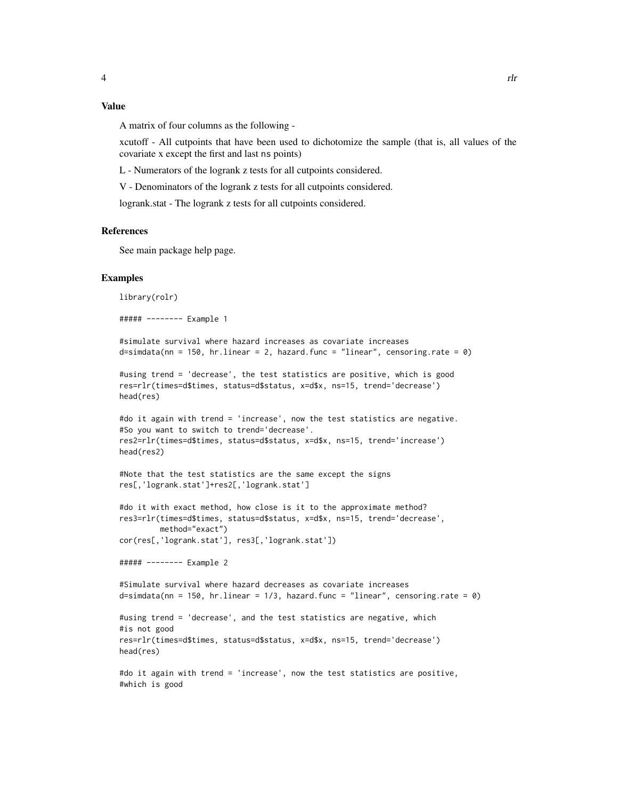#### Value

A matrix of four columns as the following -

xcutoff - All cutpoints that have been used to dichotomize the sample (that is, all values of the covariate x except the first and last ns points)

L - Numerators of the logrank z tests for all cutpoints considered.

V - Denominators of the logrank z tests for all cutpoints considered.

logrank.stat - The logrank z tests for all cutpoints considered.

#### References

See main package help page.

#### Examples

library(rolr)

##### -------- Example 1

```
#simulate survival where hazard increases as covariate increases
d=simdata(nn = 150, hr.linear = 2, hazard.func = "linear", censoring.rate = 0)
```

```
#using trend = 'decrease', the test statistics are positive, which is good
res=rlr(times=d$times, status=d$status, x=d$x, ns=15, trend='decrease')
head(res)
```

```
#do it again with trend = 'increase', now the test statistics are negative.
#So you want to switch to trend='decrease'.
res2=rlr(times=d$times, status=d$status, x=d$x, ns=15, trend='increase')
head(res2)
```

```
#Note that the test statistics are the same except the signs
res[,'logrank.stat']+res2[,'logrank.stat']
```

```
#do it with exact method, how close is it to the approximate method?
res3=rlr(times=d$times, status=d$status, x=d$x, ns=15, trend='decrease',
        method="exact")
cor(res[,'logrank.stat'], res3[,'logrank.stat'])
```
##### -------- Example 2

```
#Simulate survival where hazard decreases as covariate increases
d=simdata(nn = 150, hr.linear = 1/3, hazard.func = "linear", censoring.rate = 0)
```
#using trend = 'decrease', and the test statistics are negative, which #is not good res=rlr(times=d\$times, status=d\$status, x=d\$x, ns=15, trend='decrease') head(res)

```
#do it again with trend = 'increase', now the test statistics are positive,
#which is good
```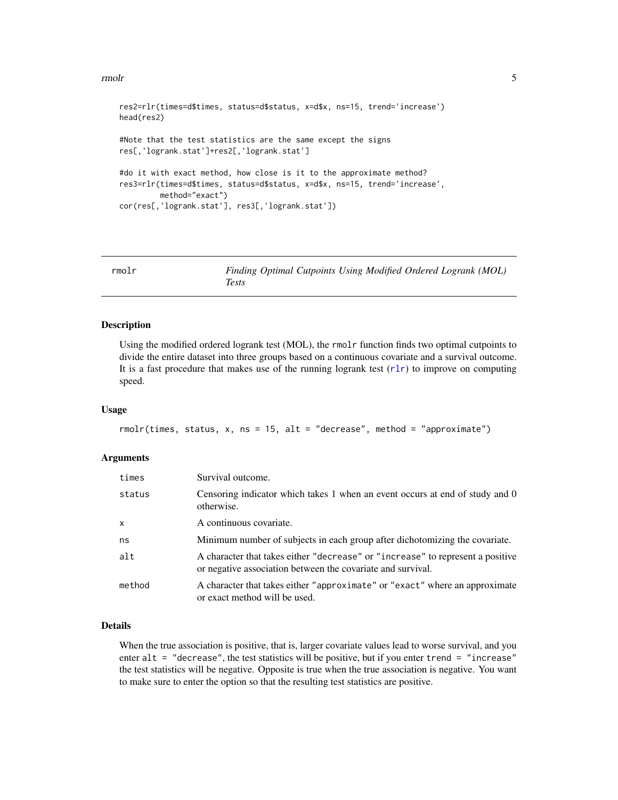#### <span id="page-4-0"></span>rmolr 5

```
res2=rlr(times=d$times, status=d$status, x=d$x, ns=15, trend='increase')
head(res2)
#Note that the test statistics are the same except the signs
res[,'logrank.stat']+res2[,'logrank.stat']
#do it with exact method, how close is it to the approximate method?
res3=rlr(times=d$times, status=d$status, x=d$x, ns=15, trend='increase',
        method="exact")
cor(res[,'logrank.stat'], res3[,'logrank.stat'])
```
<span id="page-4-1"></span>

| rmolr | Finding Optimal Cutpoints Using Modified Ordered Logrank (MOL) |  |  |  |
|-------|----------------------------------------------------------------|--|--|--|
|       | Tests                                                          |  |  |  |

#### Description

Using the modified ordered logrank test (MOL), the rmolr function finds two optimal cutpoints to divide the entire dataset into three groups based on a continuous covariate and a survival outcome. It is a fast procedure that makes use of the running logrank test  $(r\ln r)$  to improve on computing speed.

#### Usage

```
rmolr(times, status, x, ns = 15, alt = "decrease", method = "approximate")
```
#### Arguments

| times        | Survival outcome.                                                                                                                             |
|--------------|-----------------------------------------------------------------------------------------------------------------------------------------------|
| status       | Censoring indicator which takes 1 when an event occurs at end of study and 0<br>otherwise.                                                    |
| $\mathsf{x}$ | A continuous covariate.                                                                                                                       |
| ns           | Minimum number of subjects in each group after dichotomizing the covariate.                                                                   |
| alt          | A character that takes either "decrease" or "increase" to represent a positive<br>or negative association between the covariate and survival. |
| method       | A character that takes either "approximate" or "exact" where an approximate<br>or exact method will be used.                                  |

#### Details

When the true association is positive, that is, larger covariate values lead to worse survival, and you enter  $alt = "decrease",$  the test statistics will be positive, but if you enter trend  $= "increase"$ the test statistics will be negative. Opposite is true when the true association is negative. You want to make sure to enter the option so that the resulting test statistics are positive.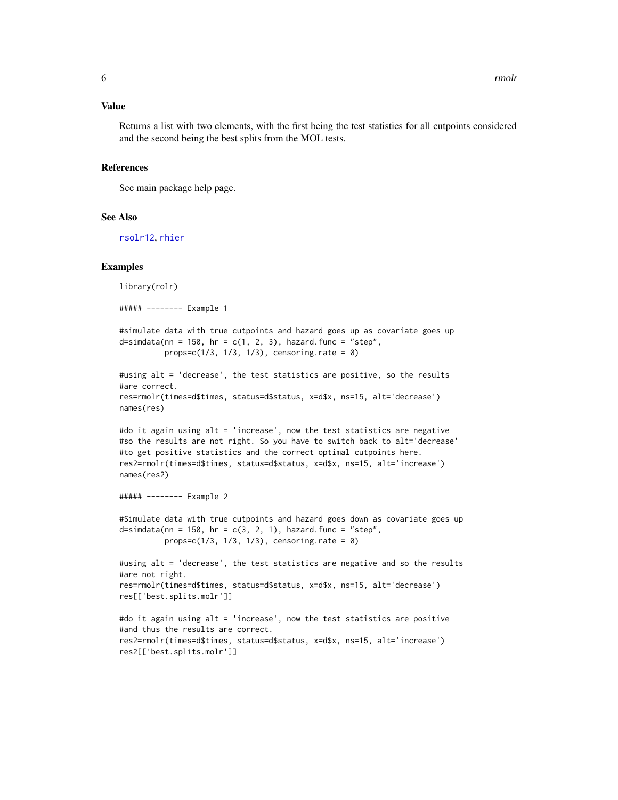#### <span id="page-5-0"></span>Value

Returns a list with two elements, with the first being the test statistics for all cutpoints considered and the second being the best splits from the MOL tests.

#### References

See main package help page.

#### See Also

[rsolr12](#page-6-1), [rhier](#page-1-1)

#### Examples

```
library(rolr)
##### -------- Example 1
```

```
#simulate data with true cutpoints and hazard goes up as covariate goes up
d=simdata(nn = 150, hr = c(1, 2, 3), hazard.func = "step",props=c(1/3, 1/3, 1/3), censoring.rate = 0)
```

```
#using alt = 'decrease', the test statistics are positive, so the results
#are correct.
res=rmolr(times=d$times, status=d$status, x=d$x, ns=15, alt='decrease')
names(res)
```

```
#do it again using alt = 'increase', now the test statistics are negative
#so the results are not right. So you have to switch back to alt='decrease'
#to get positive statistics and the correct optimal cutpoints here.
res2=rmolr(times=d$times, status=d$status, x=d$x, ns=15, alt='increase')
names(res2)
```

```
##### -------- Example 2
```
#Simulate data with true cutpoints and hazard goes down as covariate goes up d=simdata(nn = 150, hr =  $c(3, 2, 1)$ , hazard.func = "step",  $props=c(1/3, 1/3, 1/3)$ , censoring.rate = 0)

```
#using alt = 'decrease', the test statistics are negative and so the results
#are not right.
res=rmolr(times=d$times, status=d$status, x=d$x, ns=15, alt='decrease')
res[['best.splits.molr']]
```

```
#do it again using alt = 'increase', now the test statistics are positive
#and thus the results are correct.
res2=rmolr(times=d$times, status=d$status, x=d$x, ns=15, alt='increase')
res2[['best.splits.molr']]
```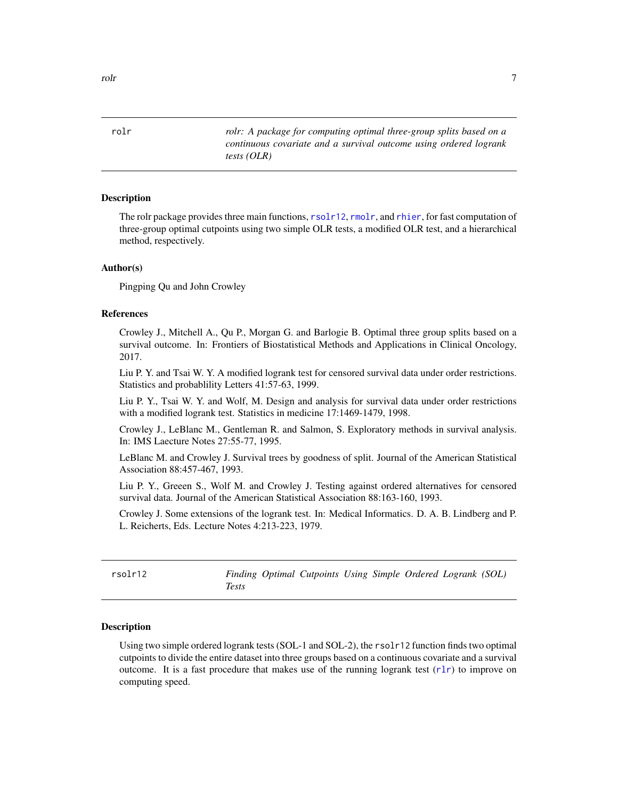<span id="page-6-0"></span>rolr *rolr: A package for computing optimal three-group splits based on a continuous covariate and a survival outcome using ordered logrank tests (OLR)*

#### Description

The rolr package provides three main functions, [rsolr12](#page-6-1), [rmolr](#page-4-1), and [rhier](#page-1-1), for fast computation of three-group optimal cutpoints using two simple OLR tests, a modified OLR test, and a hierarchical method, respectively.

#### Author(s)

Pingping Qu and John Crowley

#### References

Crowley J., Mitchell A., Qu P., Morgan G. and Barlogie B. Optimal three group splits based on a survival outcome. In: Frontiers of Biostatistical Methods and Applications in Clinical Oncology, 2017.

Liu P. Y. and Tsai W. Y. A modified logrank test for censored survival data under order restrictions. Statistics and probablility Letters 41:57-63, 1999.

Liu P. Y., Tsai W. Y. and Wolf, M. Design and analysis for survival data under order restrictions with a modified logrank test. Statistics in medicine 17:1469-1479, 1998.

Crowley J., LeBlanc M., Gentleman R. and Salmon, S. Exploratory methods in survival analysis. In: IMS Laecture Notes 27:55-77, 1995.

LeBlanc M. and Crowley J. Survival trees by goodness of split. Journal of the American Statistical Association 88:457-467, 1993.

Liu P. Y., Greeen S., Wolf M. and Crowley J. Testing against ordered alternatives for censored survival data. Journal of the American Statistical Association 88:163-160, 1993.

Crowley J. Some extensions of the logrank test. In: Medical Informatics. D. A. B. Lindberg and P. L. Reicherts, Eds. Lecture Notes 4:213-223, 1979.

<span id="page-6-1"></span>

| rsolr12 |       | Finding Optimal Cutpoints Using Simple Ordered Logrank (SOL) |  |  |  |
|---------|-------|--------------------------------------------------------------|--|--|--|
|         | Tests |                                                              |  |  |  |

#### Description

Using two simple ordered logrank tests (SOL-1 and SOL-2), the rsolr12 function finds two optimal cutpoints to divide the entire dataset into three groups based on a continuous covariate and a survival outcome. It is a fast procedure that makes use of the running logrank test  $(r\ln r)$  to improve on computing speed.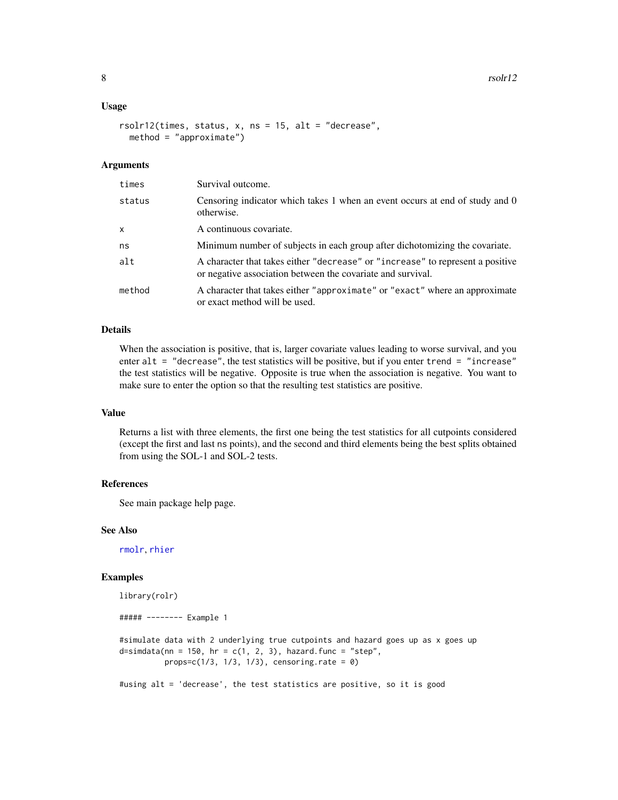#### <span id="page-7-0"></span>Usage

```
rsolr12(times, status, x, ns = 15, alt = "decrease",
 method = "approximate")
```
#### Arguments

| times  | Survival outcome.                                                                                                                             |
|--------|-----------------------------------------------------------------------------------------------------------------------------------------------|
| status | Censoring indicator which takes 1 when an event occurs at end of study and 0<br>otherwise.                                                    |
| x      | A continuous covariate.                                                                                                                       |
| ns     | Minimum number of subjects in each group after dichotomizing the covariate.                                                                   |
| alt    | A character that takes either "decrease" or "increase" to represent a positive<br>or negative association between the covariate and survival. |
| method | A character that takes either "approximate" or "exact" where an approximate<br>or exact method will be used.                                  |

#### Details

When the association is positive, that is, larger covariate values leading to worse survival, and you enter alt = "decrease", the test statistics will be positive, but if you enter trend = "increase" the test statistics will be negative. Opposite is true when the association is negative. You want to make sure to enter the option so that the resulting test statistics are positive.

#### Value

Returns a list with three elements, the first one being the test statistics for all cutpoints considered (except the first and last ns points), and the second and third elements being the best splits obtained from using the SOL-1 and SOL-2 tests.

#### References

See main package help page.

#### See Also

[rmolr](#page-4-1), [rhier](#page-1-1)

#### Examples

```
library(rolr)
##### -------- Example 1
#simulate data with 2 underlying true cutpoints and hazard goes up as x goes up
d=simdata(nn = 150, hr = c(1, 2, 3), hazard.func = "step",props = c(1/3, 1/3, 1/3), censoring.rate = 0)
#using alt = 'decrease', the test statistics are positive, so it is good
```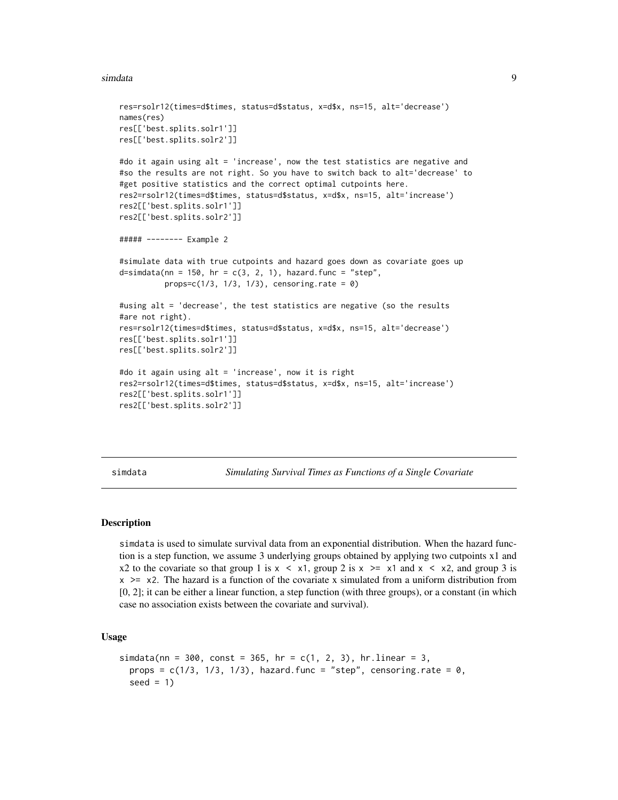#### <span id="page-8-0"></span>simdata 9

```
res=rsolr12(times=d$times, status=d$status, x=d$x, ns=15, alt='decrease')
names(res)
res[['best.splits.solr1']]
res[['best.splits.solr2']]
#do it again using alt = 'increase', now the test statistics are negative and
#so the results are not right. So you have to switch back to alt='decrease' to
#get positive statistics and the correct optimal cutpoints here.
res2=rsolr12(times=d$times, status=d$status, x=d$x, ns=15, alt='increase')
res2[['best.splits.solr1']]
res2[['best.splits.solr2']]
##### -------- Example 2
#simulate data with true cutpoints and hazard goes down as covariate goes up
d=simdata(nn = 150, hr = c(3, 2, 1), hazard.func = "step",props=c(1/3, 1/3, 1/3), censoring.rate = 0)
#using alt = 'decrease', the test statistics are negative (so the results
#are not right).
res=rsolr12(times=d$times, status=d$status, x=d$x, ns=15, alt='decrease')
res[['best.splits.solr1']]
res[['best.splits.solr2']]
#do it again using alt = 'increase', now it is right
res2=rsolr12(times=d$times, status=d$status, x=d$x, ns=15, alt='increase')
res2[['best.splits.solr1']]
res2[['best.splits.solr2']]
```
simdata *Simulating Survival Times as Functions of a Single Covariate*

#### Description

simdata is used to simulate survival data from an exponential distribution. When the hazard function is a step function, we assume 3 underlying groups obtained by applying two cutpoints x1 and x2 to the covariate so that group 1 is  $x \le x1$ , group 2 is  $x \ge -x1$  and  $x \le x2$ , and group 3 is  $x \geq x$ . The hazard is a function of the covariate x simulated from a uniform distribution from [0, 2]; it can be either a linear function, a step function (with three groups), or a constant (in which case no association exists between the covariate and survival).

#### Usage

```
simdata(nn = 300, const = 365, hr = c(1, 2, 3), hru = 3,props = c(1/3, 1/3, 1/3), hazard.func = "step", censoring.rate = 0,
  seed = 1)
```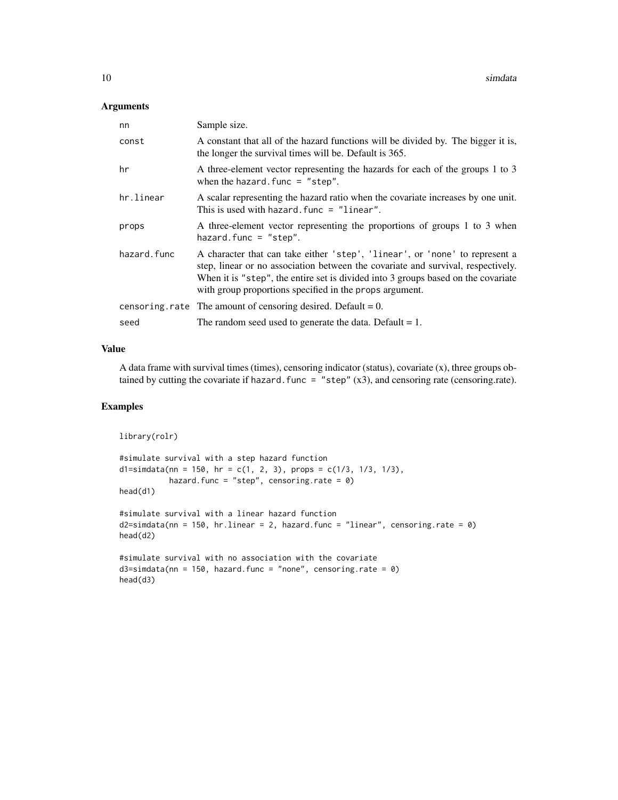#### Arguments

| nn          | Sample size.                                                                                                                                                                                                                                                                                                    |
|-------------|-----------------------------------------------------------------------------------------------------------------------------------------------------------------------------------------------------------------------------------------------------------------------------------------------------------------|
| const       | A constant that all of the hazard functions will be divided by. The bigger it is,<br>the longer the survival times will be. Default is 365.                                                                                                                                                                     |
| hr          | A three-element vector representing the hazards for each of the groups 1 to 3<br>when the hazard. func $=$ "step".                                                                                                                                                                                              |
| hr.linear   | A scalar representing the hazard ratio when the covariate increases by one unit.<br>This is used with hazard. func $=$ "linear".                                                                                                                                                                                |
| props       | A three-element vector representing the proportions of groups 1 to 3 when<br>hazard.func = $"step".$                                                                                                                                                                                                            |
| hazard.func | A character that can take either 'step', 'linear', or 'none' to represent a<br>step, linear or no association between the covariate and survival, respectively.<br>When it is "step", the entire set is divided into 3 groups based on the covariate<br>with group proportions specified in the props argument. |
|             | censoring rate The amount of censoring desired. Default = $0$ .                                                                                                                                                                                                                                                 |
| seed        | The random seed used to generate the data. Default $= 1$ .                                                                                                                                                                                                                                                      |

#### Value

A data frame with survival times (times), censoring indicator (status), covariate (x), three groups obtained by cutting the covariate if hazard. func = "step"  $(x3)$ , and censoring rate (censoring.rate).

#### Examples

```
library(rolr)
```

```
#simulate survival with a step hazard function
d1=simdata(nn = 150, hr = c(1, 2, 3), props = c(1/3, 1/3, 1/3),
          hazard.func = "step", censoring.rate = 0)
head(d1)
```
#simulate survival with a linear hazard function  $d2=simdata(nn = 150, hr.linear = 2, hazard.func = "linear", censoring.rate = 0)$ head(d2)

```
#simulate survival with no association with the covariate
d3=simdata(nn = 150, hazard.func = "none", censoring_rate = 0)head(d3)
```